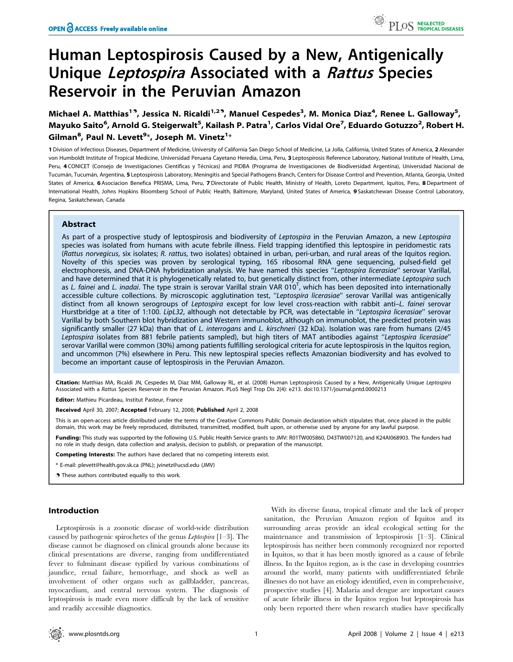# Human Leptospirosis Caused by a New, Antigenically Unique Leptospira Associated with a Rattus Species Reservoir in the Peruvian Amazon

Michael A. Matthias<sup>19</sup>, Jessica N. Ricaldi<sup>1,29</sup>, Manuel Cespedes<sup>3</sup>, M. Monica Diaz<sup>4</sup>, Renee L. Galloway<sup>5</sup>, Mayuko Saito<sup>6</sup>, Arnold G. Steigerwalt<sup>5</sup>, Kailash P. Patra<sup>1</sup>, Carlos Vidal Ore<sup>7</sup>, Eduardo Gotuzzo<sup>2</sup>, Robert H. Gilman $^{\bf 8}$ , Paul N. Levett $^{\bf 9*}$ , Joseph M. Vinetz $^{\bf 1*}$ 

1 Division of Infectious Diseases, Department of Medicine, University of California San Diego School of Medicine, La Jolla, California, United States of America, 2 Alexander von Humboldt Institute of Tropical Medicine, Universidad Peruana Cayetano Heredia, Lima, Peru, 3 Leptospirosis Reference Laboratory, National Institute of Health, Lima, Peru, 4 CONICET (Consejo de Investigaciones Científicas y Técnicas) and PIDBA (Programa de Investigaciones de Biodiversidad Argentina), Universidad Nacional de Tucumán, Tucumán, Argentina, 5 Leptospirosis Laboratory, Meningitis and Special Pathogens Branch, Centers for Disease Control and Prevention, Atlanta, Georgia, United States of America, 6 Asociacion Benefica PRISMA, Lima, Peru, 7 Directorate of Public Health, Ministry of Health, Loreto Department, Iquitos, Peru, 8 Department of International Health, Johns Hopkins Bloomberg School of Public Health, Baltimore, Maryland, United States of America, 9 Saskatchewan Disease Control Laboratory, Regina, Saskatchewan, Canada

# Abstract

As part of a prospective study of leptospirosis and biodiversity of Leptospira in the Peruvian Amazon, a new Leptospira species was isolated from humans with acute febrile illness. Field trapping identified this leptospire in peridomestic rats (Rattus norvegicus, six isolates; R. rattus, two isolates) obtained in urban, peri-urban, and rural areas of the Iquitos region. Novelty of this species was proven by serological typing, 16S ribosomal RNA gene sequencing, pulsed-field gel electrophoresis, and DNA-DNA hybridization analysis. We have named this species ''Leptospira licerasiae'' serovar Varillal, and have determined that it is phylogenetically related to, but genetically distinct from, other intermediate Leptospira such as L. fainei and L. inadai. The type strain is serovar Varillal strain VAR 010<sup>T</sup>, which has been deposited into internationally accessible culture collections. By microscopic agglutination test, "Leptospira licerasiae" serovar Varillal was antigenically distinct from all known serogroups of Leptospira except for low level cross-reaction with rabbit anti–L. fainei serovar Hurstbridge at a titer of 1:100. LipL32, although not detectable by PCR, was detectable in ''Leptospira licerasiae'' serovar Varillal by both Southern blot hybridization and Western immunoblot, although on immunoblot, the predicted protein was significantly smaller (27 kDa) than that of L. interrogans and L. kirschneri (32 kDa). Isolation was rare from humans (2/45 Leptospira isolates from 881 febrile patients sampled), but high titers of MAT antibodies against ''Leptospira licerasiae'' serovar Varillal were common (30%) among patients fulfilling serological criteria for acute leptospirosis in the Iquitos region, and uncommon (7%) elsewhere in Peru. This new leptospiral species reflects Amazonian biodiversity and has evolved to become an important cause of leptospirosis in the Peruvian Amazon.

Citation: Matthias MA, Ricaldi JN, Cespedes M, Diaz MM, Galloway RL, et al. (2008) Human Leptospirosis Caused by a New, Antigenically Unique Leptospira Associated with a Rattus Species Reservoir in the Peruvian Amazon. PLoS Negl Trop Dis 2(4): e213. doi:10.1371/journal.pntd.0000213

Editor: Mathieu Picardeau, Institut Pasteur, France

Received April 30, 2007; Accepted February 12, 2008; Published April 2, 2008

This is an open-access article distributed under the terms of the Creative Commons Public Domain declaration which stipulates that, once placed in the public domain, this work may be freely reproduced, distributed, transmitted, modified, built upon, or otherwise used by anyone for any lawful purpose.

Funding: This study was supported by the following U.S. Public Health Service grants to JMV: R01TW005860, D43TW007120, and K24AI068903. The funders had no role in study design, data collection and analysis, decision to publish, or preparation of the manuscript.

Competing Interests: The authors have declared that no competing interests exist.

\* E-mail: plevett@health.gov.sk.ca (PNL); jvinetz@ucsd.edu (JMV)

. These authors contributed equally to this work.

# Introduction

Leptospirosis is a zoonotic disease of world-wide distribution caused by pathogenic spirochetes of the genus Leptospira [1–3]. The disease cannot be diagnosed on clinical grounds alone because its clinical presentations are diverse, ranging from undifferentiated fever to fulminant disease typified by various combinations of jaundice, renal failure, hemorrhage, and shock as well as involvement of other organs such as gallbladder, pancreas, myocardium, and central nervous system. The diagnosis of leptospirosis is made even more difficult by the lack of sensitive and readily accessible diagnostics.

With its diverse fauna, tropical climate and the lack of proper sanitation, the Peruvian Amazon region of Iquitos and its surrounding areas provide an ideal ecological setting for the maintenance and transmission of leptospirosis [1–3]. Clinical leptospirosis has neither been commonly recognized nor reported in Iquitos, so that it has been mostly ignored as a cause of febrile illness. In the Iquitos region, as is the case in developing countries around the world, many patients with undifferentiated febrile illnesses do not have an etiology identified, even in comprehensive, prospective studies [4]. Malaria and dengue are important causes of acute febrile illness in the Iquitos region but leptospirosis has only been reported there when research studies have specifically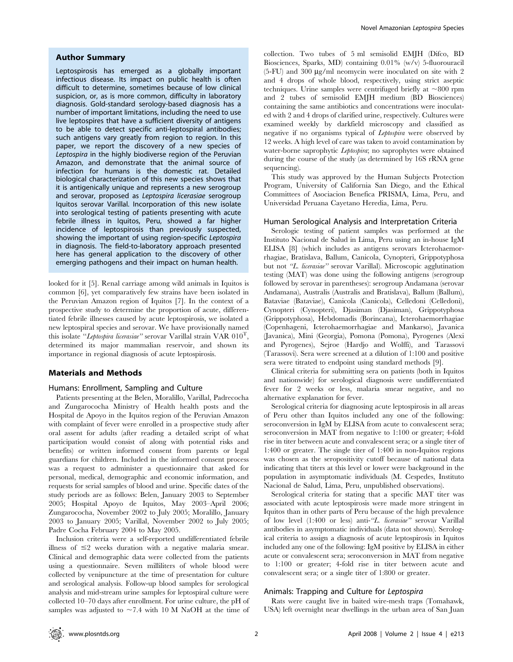#### Author Summary

Leptospirosis has emerged as a globally important infectious disease. Its impact on public health is often difficult to determine, sometimes because of low clinical suspicion, or, as is more common, difficulty in laboratory diagnosis. Gold-standard serology-based diagnosis has a number of important limitations, including the need to use live leptospires that have a sufficient diversity of antigens to be able to detect specific anti-leptospiral antibodies; such antigens vary greatly from region to region. In this paper, we report the discovery of a new species of Leptospira in the highly biodiverse region of the Peruvian Amazon, and demonstrate that the animal source of infection for humans is the domestic rat. Detailed biological characterization of this new species shows that it is antigenically unique and represents a new serogroup and serovar, proposed as Leptospira licerasiae serogroup Iquitos serovar Varillal. Incorporation of this new isolate into serological testing of patients presenting with acute febrile illness in Iquitos, Peru, showed a far higher incidence of leptospirosis than previously suspected, showing the important of using region-specific Leptospira in diagnosis. The field-to-laboratory approach presented here has general application to the discovery of other emerging pathogens and their impact on human health.

looked for it [5]. Renal carriage among wild animals in Iquitos is common [6], yet comparatively few strains have been isolated in the Peruvian Amazon region of Iquitos [7]. In the context of a prospective study to determine the proportion of acute, differentiated febrile illnesses caused by acute leptospirosis, we isolated a new leptospiral species and serovar. We have provisionally named this isolate "Leptospira licerasiae" serovar Varillal strain VAR  $010^{\mathrm{T}}$ , determined its major mammalian reservoir, and shown its importance in regional diagnosis of acute leptospirosis.

## Materials and Methods

## Humans: Enrollment, Sampling and Culture

Patients presenting at the Belen, Moralillo, Varillal, Padrecocha and Zungarococha Ministry of Health health posts and the Hospital de Apoyo in the Iquitos region of the Peruvian Amazon with complaint of fever were enrolled in a prospective study after oral assent for adults (after reading a detailed script of what participation would consist of along with potential risks and benefits) or written informed consent from parents or legal guardians for children. Included in the informed consent process was a request to administer a questionnaire that asked for personal, medical, demographic and economic information, and requests for serial samples of blood and urine. Specific dates of the study periods are as follows: Belen, January 2003 to September 2005; Hospital Apoyo de Iquitos, May 2003–April 2006; Zungarococha, November 2002 to July 2005; Moralillo, January 2003 to January 2005; Varillal, November 2002 to July 2005; Padre Cocha February 2004 to May 2005.

Inclusion criteria were a self-reported undifferentiated febrile illness of  $\leq$ 2 weeks duration with a negative malaria smear. Clinical and demographic data were collected from the patients using a questionnaire. Seven milliliters of whole blood were collected by venipuncture at the time of presentation for culture and serological analysis. Follow-up blood samples for serological analysis and mid-stream urine samples for leptospiral culture were collected 10–70 days after enrollment. For urine culture, the pH of samples was adjusted to  $\sim$  7.4 with 10 M NaOH at the time of collection. Two tubes of 5 ml semisolid EMJH (Difco, BD Biosciences, Sparks, MD) containing 0.01% (w/v) 5-fluorouracil (5-FU) and 300  $\mu$ g/ml neomycin were inoculated on site with 2 and 4 drops of whole blood, respectively, using strict aseptic techniques. Urine samples were centrifuged briefly at  $\sim800$  rpm and 2 tubes of semisolid EMJH medium (BD Biosciences) containing the same antibiotics and concentrations were inoculated with 2 and 4 drops of clarified urine, respectively. Cultures were examined weekly by darkfield microscopy and classified as negative if no organisms typical of Leptospira were observed by 12 weeks. A high level of care was taken to avoid contamination by water-borne saprophytic Leptospira; no saprophytes were obtained during the course of the study (as determined by 16S rRNA gene sequencing).

This study was approved by the Human Subjects Protection Program, University of California San Diego, and the Ethical Committees of Asociacion Benefica PRISMA, Lima, Peru, and Universidad Peruana Cayetano Heredia, Lima, Peru.

#### Human Serological Analysis and Interpretation Criteria

Serologic testing of patient samples was performed at the Instituto Nacional de Salud in Lima, Peru using an in-house IgM ELISA [8] (which includes as antigens serovars Icterohaemorrhagiae, Bratislava, Ballum, Canicola, Cynopteri, Grippotyphosa but not ''L. licerasiae'' serovar Varillal). Microscopic agglutination testing (MAT) was done using the following antigens (serogroup followed by serovar in parentheses): serogroup Andamana (serovar Andamana), Australis (Australis and Bratislava), Ballum (Ballum), Bataviae (Bataviae), Canicola (Canicola), Celledoni (Celledoni), Cynopteri (Cynopteri), Djasiman (Djasiman), Grippotyphosa (Grippotyphosa), Hebdomadis (Borincana), Icterohaemorrhagiae (Copenhageni, Icterohaemorrhagiae and Mankarso), Javanica (Javanica), Mini (Georgia), Pomona (Pomona), Pyrogenes (Alexi and Pyrogenes), Sejroe (Hardjo and Wolffi), and Tarassovi (Tarassovi). Sera were screened at a dilution of 1:100 and positive sera were titrated to endpoint using standard methods [9].

Clinical criteria for submitting sera on patients (both in Iquitos and nationwide) for serological diagnosis were undifferentiated fever for 2 weeks or less, malaria smear negative, and no alternative explanation for fever.

Serological criteria for diagnosing acute leptospirosis in all areas of Peru other than Iquitos included any one of the following: seroconversion in IgM by ELISA from acute to convalescent sera; seroconversion in MAT from negative to 1:100 or greater; 4-fold rise in titer between acute and convalescent sera; or a single titer of 1:400 or greater. The single titer of 1:400 in non-Iquitos regions was chosen as the seropositivity cutoff because of national data indicating that titers at this level or lower were background in the population in asymptomatic individuals (M. Cespedes, Instituto Nacional de Salud, Lima, Peru, unpublished observations).

Serological criteria for stating that a specific MAT titer was associated with acute leptospirosis were made more stringent in Iquitos than in other parts of Peru because of the high prevalence of low level (1:400 or less) anti-''L. licerasiae'' serovar Varillal antibodies in asymptomatic individuals (data not shown). Serological criteria to assign a diagnosis of acute leptospirosis in Iquitos included any one of the following: IgM positive by ELISA in either acute or convalescent sera; seroconversion in MAT from negative to 1:100 or greater; 4-fold rise in titer between acute and convalescent sera; or a single titer of 1:800 or greater.

## Animals: Trapping and Culture for Leptospira

Rats were caught live in baited wire-mesh traps (Tomahawk, USA) left overnight near dwellings in the urban area of San Juan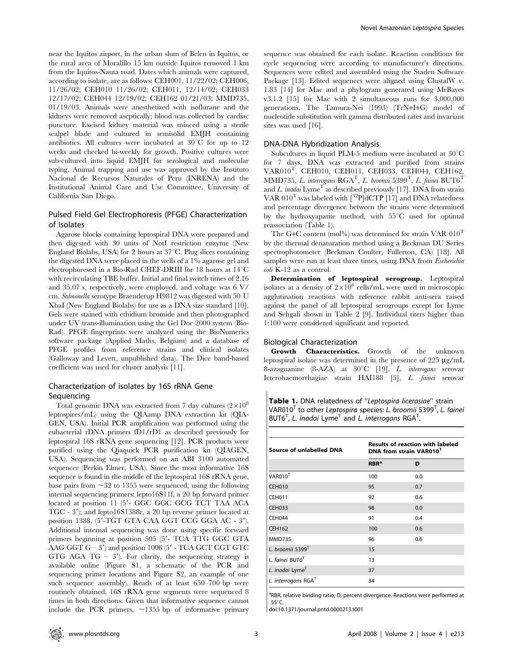near the Iquitos airport, in the urban slum of Belen in Iquitos, or the rural area of Moralillo 15 km outside Iquitos removed 1 km from the Iquitos-Nauta road. Dates which animals were captured, according to isolate, are as follows: CEH001, 11/22/02; CEH006, 11/26/02; CEH010 11/26/02; CEH011, 12/14/02; CEH033 12/17/02; CEH044 12/19/02; CEH162 01/21/03; MMD735, 01/19/03. Animals were anesthetized with isoflurane and the kidneys were removed aseptically; blood was collected by cardiac puncture. Excised kidney material was minced using a sterile scalpel blade and cultured in semisolid EMJH containing antibiotics. All cultures were incubated at  $30^{\circ}$ C for up to 12 weeks and checked bi-weekly for growth. Positive cultures were sub-cultured into liquid EMJH for serological and molecular typing. Animal trapping and use was approved by the Instituto Nacional de Recursos Naturales of Peru (INRENA) and the Institutional Animal Care and Use Committee, University of California San Diego.

# Pulsed Field Gel Electrophoresis (PFGE) Characterization of Isolates

Agarose blocks containing leptospiral DNA were prepared and then digested with 30 units of NotI restriction enzyme (New England Biolabs, USA) for 2 hours at  $37^{\circ}$ C. Plug slices containing the digested DNA were placed in the wells of a 1% agarose gel and electrophoresed in a Bio-Rad CHEF-DRIII for 18 hours at  $14^{\circ}$ C with recirculating TBE buffer. Initial and final switch times of 2.16 and 35.07 s, respectively, were employed, and voltage was 6 V/ cm. Salmonella serotype Braenderup H9812 was digested with 50 U XbaI (New England Biolabs) for use as a DNA size standard [10]. Gels were stained with ethidium bromide and then photographed under UV trans-illumination using the Gel Doc 2000 system (Bio-Rad). PFGE fingerprints were analyzed using the BioNumerics software package (Applied Maths, Belgium) and a database of PFGE profiles from reference strains and clinical isolates (Galloway and Levett, unpublished data). The Dice band-based coefficient was used for cluster analysis [11].

# Characterization of isolates by 16S rRNA Gene Sequencing

Total genomic DNA was extracted from 7 day cultures  $(2\times10^8$ leptospires/mL) using the QIAamp DNA extraction kit (QIA-GEN, USA). Initial PCR amplification was performed using the eubacterial rDNA primers fD1/rD1 as described previously for leptospiral 16S rRNA gene sequencing [12]. PCR products were purified using the Qiaquick PCR purification kit (QIAGEN, USA). Sequencing was performed on an ABI 3100 automated sequencer (Perkin Elmer, USA). Since the most informative 16S sequence is found in the middle of the leptospiral 16S rRNA gene, base pairs from  $\sim$  32 to 1355 were sequenced, using the following internal sequencing primers: lepto16S11f, a 20 bp forward primer located at position 11 (5'- GGC GGC GCG TCT TAA ACA TGC - 3'); and lepto16S1388r, a 20 bp reverse primer located at position 1388, (5'-TGT GTA CAA GGT CCG GGA AC - 3'). Additional internal sequencing was done using specific forward primers beginning at position 505 (5'- TCA TTG GGC GTA AAG GGT  $G - 3'$ ) and position 1006 (5' - TCA GCT CGT GTC GTG AGA TG  $-$  3'). For clarity, the sequencing strategy is available online (Figure S1, a schematic of the PCR and sequencing primer locations and Figure S2, an example of one such sequence assembly). Reads of at least 650–700 bp were routinely obtained. 16S rRNA gene segments were sequenced 8 times in both directions. Given that informative sequence cannot include the PCR primers,  $\sim$ 1355 bp of informative primary sequence was obtained for each isolate. Reaction conditions for cycle sequencing were according to manufacturer's directions. Sequences were edited and assembled using the Staden Software Package [13]. Edited sequences were aligned using ClustalW v. 1.83 [14] for Mac and a phylogram generated using MrBayes v3.1.2 [15] for Mac with 2 simultaneous runs for 3,000,000 generations. The Tamura-Nei (1993) (TrN+I+G) model of nucleotide substitution with gamma distributed rates and invariant sites was used [16].

## DNA-DNA Hybridization Analysis

Subcultures in liquid PLM-5 medium were incubated at  $30^{\circ}$ C for 7 days. DNA was extracted and purified from strains VAR010T, CEH010, CEH011, CEH033, CEH044, CEH162, MMD735, L. interrogans  $RGA<sup>T</sup>$ , L. broomii 5399<sup>T</sup>, L. fainei BUT6<sup>T</sup> and L. inadai Lyme<sup>T</sup> as described previously [17]. DNA from strain VAR 010<sup>T</sup> was labeled with  $[^{32}P]$ dCTP [17] and DNA relatedness and percentage divergence between the strains were determined by the hydroxyapatite method, with  $55^{\circ}$ C used for optimal reassociation (Table 1).

The G+C content (mol%) was determined for strain VAR  $010^{\mathrm{T}}$ by the thermal denaturation method using a Beckman DU Series spectrophotometer (Beckman Coulter, Fullerton, CA) [18]. All samples were run at least three times, using DNA from Escherichia coli K-12 as a control.

Determination of leptospiral serogroup. Leptospiral isolates at a density of  $2\times10^8$  cells/mL were used in microscopic agglutination reactions with reference rabbit anti-sera raised against the panel of all leptospiral serogroups except for Lyme and Sehgali shown in Table 2 [9]. Individual titers higher than 1:100 were considered significant and reported.

## Biological Characterization

Growth Characteristics. Growth of the unknown leptospiral isolate was determined in the presence of  $225 \mu g/mL$ 8-azaguanine (8-AZA) at  $30^{\circ}$ C [19]. *L. interrogans* serovar Icterohaemorrhagiae strain HAI188 [5], L. fainei serovar

Table 1. DNA relatedness of "Leptospira licerasiae" strain VAR010<sup>T</sup> to other Leptospira species: L. broomii 5399<sup>T</sup>, L. fainei  $BUT6^{T}$ , L. inadai Lyme<sup>T</sup> and L. interrogans RGA<sup>T</sup>.

| Source of unlabelled DNA     | <b>Results of reaction with labeled</b><br>DNA from strain VAR010 <sup>T</sup> |     |
|------------------------------|--------------------------------------------------------------------------------|-----|
|                              | RBR <sup>a</sup>                                                               | D   |
| VAR010 <sup>T</sup>          | 100                                                                            | 0.0 |
| <b>CEH010</b>                | 95                                                                             | 0.7 |
| <b>CEH011</b>                | 92                                                                             | 0.6 |
| <b>CEH033</b>                | 98                                                                             | 0.0 |
| CEH044                       | 91                                                                             | 0.4 |
| <b>CEH162</b>                | 100                                                                            | 0.6 |
| <b>MMD735</b>                | 96                                                                             | 0.6 |
| L. broomii 5399 <sup>T</sup> | 15                                                                             |     |
| L. fainei BUT6 <sup>T</sup>  | 13                                                                             |     |
| L. inadai Lyme <sup>T</sup>  | 37                                                                             |     |
| L. interrogans $RGAT$        | 34                                                                             |     |

<sup>a</sup>RBR, relative binding ratio; D, percent divergence. Reactions were performed at  $55^{\circ}$ C.

doi:10.1371/journal.pntd.0000213.t001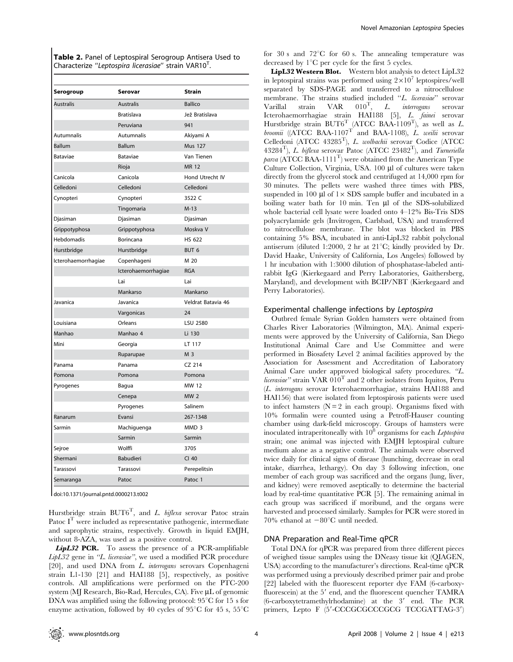Table 2. Panel of Leptospiral Serogroup Antisera Used to Characterize "Leptospira licerasiae" strain VAR10<sup>T</sup>.

| Serogroup           | Serovar             | <b>Strain</b>      |
|---------------------|---------------------|--------------------|
| <b>Australis</b>    | <b>Australis</b>    | <b>Ballico</b>     |
|                     | <b>Bratislava</b>   | Jež Bratislava     |
|                     | Peruviana           | 941                |
| Autumnalis          | Autumnalis          | Akiyami A          |
| <b>Ballum</b>       | Ballum              | <b>Mus 127</b>     |
| <b>Bataviae</b>     | Bataviae            | Van Tienen         |
|                     | Rioja               | <b>MR12</b>        |
| Canicola            | Canicola            | Hond Utrecht IV    |
| Celledoni           | Celledoni           | Celledoni          |
| Cynopteri           | Cynopteri           | 3522 C             |
|                     | Tingomaria          | $M-13$             |
| Djasiman            | Djasiman            | Djasiman           |
| Grippotyphosa       | Grippotyphosa       | Moskva V           |
| Hebdomadis          | Borincana           | <b>HS 622</b>      |
| Hurstbridge         | Hurstbridge         | BUT <sub>6</sub>   |
| Icterohaemorrhagiae | Copenhageni         | M 20               |
|                     | Icterohaemorrhagiae | <b>RGA</b>         |
|                     | Lai                 | Lai                |
|                     | Mankarso            | Mankarso           |
| Javanica            | Javanica            | Veldrat Batavia 46 |
|                     | Vargonicas          | 24                 |
| Louisiana           | Orleans             | <b>LSU 2580</b>    |
| Manhao              | Manhao 4            | Li 130             |
| Mini                | Georgia<br>LT 117   |                    |
|                     | Ruparupae           | M <sub>3</sub>     |
| Panama              | Panama              | CZ 214             |
| Pomona              | Pomona              | Pomona             |
| Pyrogenes           | Bagua               | MW 12              |
|                     | Cenepa              | <b>MW 2</b>        |
|                     | Pyrogenes           | Salinem            |
| Ranarum             | Evansi              | 267-1348           |
| Sarmin              | Machiguenga         | MMD <sub>3</sub>   |
|                     | Sarmin              | Sarmin             |
| Sejroe              | Wolffi              | 3705               |
| Shermani            | Babudieri           | CI 40              |
| Tarassovi           | Tarassovi           | Perepelitsin       |
| Semaranga           | Patoc               | Patoc 1            |

doi:10.1371/journal.pntd.0000213.t002

Hurstbridge strain  $BUT6<sup>T</sup>$ , and *L. biflexa* serovar Patoc strain Patoc  $I<sup>T</sup>$  were included as representative pathogenic, intermediate and saprophytic strains, respectively. Growth in liquid EMJH, without 8-AZA, was used as a positive control.

LipL32 PCR. To assess the presence of a PCR-amplifiable LipL32 gene in "L. licerasiae", we used a modified PCR procedure [20], and used DNA from *L. interrogans* serovars Copenhageni strain L1-130 [21] and HAI188 [5], respectively, as positive controls. All amplifications were performed on the PTC-200 system (MJ Research, Bio-Rad, Hercules, CA). Five  $\mu$ L of genomic DNA was amplified using the following protocol:  $95^{\circ}$ C for 15 s for enzyme activation, followed by 40 cycles of  $95^{\circ}$ C for 45 s,  $55^{\circ}$ C for 30 s and  $72^{\circ}$ C for 60 s. The annealing temperature was decreased by  $1^{\circ}$ C per cycle for the first 5 cycles.

LipL32 Western Blot. Western blot analysis to detect LipL32 in leptospiral strains was performed using  $2\times10^7$  leptospires/well separated by SDS-PAGE and transferred to a nitrocellulose membrane. The strains studied included ''L. licerasiae'' serovar Varillal strain VAR  $010^T$ , *L. interrogans* serovar Icterohaemorrhagiae strain HAI188 [5], *L. fainei* serovar Hurstbridge strain BUT6<sup>T</sup> (ATCC BAA-1109<sup>T</sup>), as well as  $L$ . broomii ( $\overline{(ATCC BAA-1107]}$  and BAA-1108), L. weilii serovar Celledoni (ATCC 43285<sup>T</sup>), *L. wolbachii* serovar Codice (ATCC 43284<sup>T</sup>), *L. biflexa* serovar Patoc (ATCC 23482<sup>T</sup>), and Turneriella  $\textit{para}$  (ATCC BAA-1111<sup>T</sup>) were obtained from the American Type Culture Collection, Virginia, USA. 100 µl of cultures were taken directly from the glycerol stock and centrifuged at 14,000 rpm for 30 minutes. The pellets were washed three times with PBS, suspended in 100  $\mu$ l of 1 $\times$  SDS sample buffer and incubated in a boiling water bath for 10 min. Ten ul of the SDS-solubilized whole bacterial cell lysate were loaded onto 4–12% Bis-Tris SDS polyacrylamide gels (Invitrogen, Carlsbad, USA) and transferred to nitrocellulose membrane. The blot was blocked in PBS containing 5% BSA, incubated in anti-LipL32 rabbit polyclonal antiserum (diluted 1:2000, 2 hr at  $21^{\circ}$ C; kindly provided by Dr. David Haake, University of California, Los Angeles) followed by 1 hr incubation with 1:3000 dilution of phosphatase-labeled antirabbit IgG (Kierkegaard and Perry Laboratories, Gaithersberg, Maryland), and development with BCIP/NBT (Kierkegaard and Perry Laboratories).

## Experimental challenge infections by Leptospira

Outbred female Syrian Golden hamsters were obtained from Charles River Laboratories (Wilmington, MA). Animal experiments were approved by the University of California, San Diego Institutional Animal Care and Use Committee and were performed in Biosafety Level 2 animal facilities approved by the Association for Assessment and Accreditation of Laboratory Animal Care under approved biological safety procedures. "L. *licerasiae*" strain VAR  $010<sup>T</sup>$  and 2 other isolates from Iquitos, Peru (L. interrogans serovar Icterohaemorrhagiae, strains HAI188 and HAI156) that were isolated from leptospirosis patients were used to infect hamsters  $(N = 2$  in each group). Organisms fixed with 10% formalin were counted using a Petroff-Hauser counting chamber using dark-field microscopy. Groups of hamsters were inoculated intraperitoneally with  $10^8$  organisms for each *Leptospira* strain; one animal was injected with EMJH leptospiral culture medium alone as a negative control. The animals were observed twice daily for clinical signs of disease (hunching, decrease in oral intake, diarrhea, lethargy). On day 3 following infection, one member of each group was sacrificed and the organs (lung, liver, and kidney) were removed aseptically to determine the bacterial load by real-time quantitative PCR [5]. The remaining animal in each group was sacrificed if moribund, and the organs were harvested and processed similarly. Samples for PCR were stored in 70% ethanol at  $-80^{\circ}$ C until needed.

## DNA Preparation and Real-Time qPCR

Total DNA for qPCR was prepared from three different pieces of weighed tissue samples using the DNeasy tissue kit (QIAGEN, USA) according to the manufacturer's directions. Real-time qPCR was performed using a previously described primer pair and probe [22] labeled with the fluorescent reporter dye FAM (6-carboxyfluorescein) at the 5' end, and the fluorescent quencher TAMRA (6-carboxytetramethylrhodamine) at the 3' end. The PCR primers, Lepto F (5'-CCCGCGCCCGCG TCCGATTAG-3')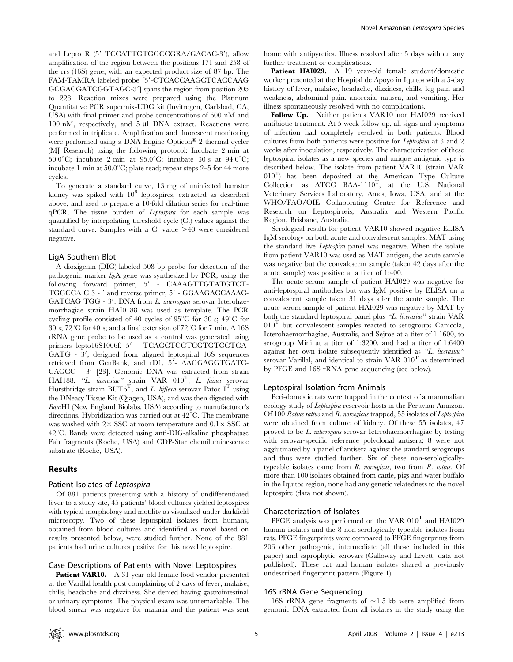and Lepto R  $(5'$  TCCATTGTGGCCGRA/GACAC-3'), allow amplification of the region between the positions 171 and 258 of the rrs (16S) gene, with an expected product size of 87 bp. The FAM-TAMRA labeled probe [5'-CTCACCAAGCTCACCAAG GCGACGATCGGTAGC-3'] spans the region from position 205 to 228. Reaction mixes were prepared using the Platinum Quantitative PCR supermix-UDG kit (Invitrogen, Carlsbad, CA, USA) with final primer and probe concentrations of 600 nM and 100 nM, respectively, and  $5 \mu$ I DNA extract. Reactions were performed in triplicate. Amplification and fluorescent monitoring were performed using a DNA Engine Opticon<sup>®</sup> 2 thermal cycler (MJ Research) using the following protocol: Incubate 2 min at 50.0°C; incubate 2 min at 95.0°C; incubate 30 s at 94.0°C; incubate 1 min at  $50.0^{\circ}$ C; plate read; repeat steps 2–5 for 44 more cycles.

To generate a standard curve, 13 mg of uninfected hamster kidney was spiked with  $10^8$  leptospires, extracted as described above, and used to prepare a 10-fold dilution series for real-time qPCR. The tissue burden of Leptospira for each sample was quantified by interpolating threshold cycle (Ct) values against the standard curve. Samples with a  $C_t$  value  $>40$  were considered negative.

## LigA Southern Blot

A dioxigenin (DIG)-labeled 508 bp probe for detection of the pathogenic marker ligA gene was synthesized by PCR, using the following forward primer,  $5'$  - CAAAGTTGTATGTCT-TGGCCA C 3 -  $'$  and reverse primer, 5' - GGAAGACCAAAC-GATCAG TGG -  $3'$ . DNA from *L. interrogans* serovar Icterohaemorrhagiae strain HAI0188 was used as template. The PCR cycling profile consisted of 40 cycles of  $95^{\circ}$ C for 30 s;  $49^{\circ}$ C for 30 s; 72 $\mathrm{^{\circ}C}$  for 40 s; and a final extension of 72 $\mathrm{^{\circ}C}$  for 7 min. A 16S rRNA gene probe to be used as a control was generated using primers lepto16S1006f, 5' - TCAGCTCGTCGTGTCGTGA- $GATG - 3'$ , designed from aligned leptospiral 16S sequences retrieved from GenBank, and rD1, 5'- AAGGAGGTGATC- $CAGCC - 3'$  [23]. Genomic DNA was extracted from strain HAI188, "L. licerasiae" strain VAR  $010^T$ , L. fainei serovar Hurstbridge strain BUT6<sup>T</sup>, and *L. biflexa* serovar Patoc  $I<sup>T</sup>$  using the DNeasy Tissue Kit (Qiagen, USA), and was then digested with BamHI (New England Biolabs, USA) according to manufacturer's directions. Hybridization was carried out at  $42^{\circ}$ C. The membrane was washed with  $2 \times SSC$  at room temperature and  $0.1 \times SSC$  at 42°C. Bands were detected using anti-DIG-alkaline phosphatase Fab fragments (Roche, USA) and CDP-Star chemiluminescence substrate (Roche, USA).

## Results

## Patient Isolates of Leptospira

Of 881 patients presenting with a history of undifferentiated fever to a study site, 45 patients' blood cultures yielded leptospires with typical morphology and motility as visualized under darkfield microscopy. Two of these leptospiral isolates from humans, obtained from blood cultures and identified as novel based on results presented below, were studied further. None of the 881 patients had urine cultures positive for this novel leptospire.

# Case Descriptions of Patients with Novel Leptospires

Patient VAR10. A 31 year old female food vendor presented at the Varillal health post complaining of 2 days of fever, malaise, chills, headache and dizziness. She denied having gastrointestinal or urinary symptoms. The physical exam was unremarkable. The blood smear was negative for malaria and the patient was sent

home with antipyretics. Illness resolved after 5 days without any further treatment or complications.

Patient HAI029. A 19 year-old female student/domestic worker presented at the Hospital de Apoyo in Iquitos with a 5-day history of fever, malaise, headache, dizziness, chills, leg pain and weakness, abdominal pain, anorexia, nausea, and vomiting. Her illness spontaneously resolved with no complications.

Follow Up. Neither patients VAR10 nor HAI029 received antibiotic treatment. At 5 week follow up, all signs and symptoms of infection had completely resolved in both patients. Blood cultures from both patients were positive for Leptospira at 3 and 2 weeks after inoculation, respectively. The characterization of these leptospiral isolates as a new species and unique antigenic type is described below. The isolate from patient VAR10 (strain VAR  $010^{\text{T}}$ ) has been deposited at the American Type Culture Collection as ATCC BAA-1110<sup>T</sup>, at the U.S. National Veterinary Services Laboratory, Ames, Iowa, USA, and at the WHO/FAO/OIE Collaborating Centre for Reference and Research on Leptospirosis, Australia and Western Pacific Region, Brisbane, Australia.

Serological results for patient VAR10 showed negative ELISA IgM serology on both acute and convalescent samples. MAT using the standard live Leptospira panel was negative. When the isolate from patient VAR10 was used as MAT antigen, the acute sample was negative but the convalescent sample (taken 42 days after the acute sample) was positive at a titer of 1:400.

The acute serum sample of patient HAI029 was negative for anti-leptospiral antibodies but was IgM positive by ELISA on a convalescent sample taken 31 days after the acute sample. The acute serum sample of patient HAI029 was negative by MAT by both the standard leptospiral panel plus "L. licerasiae" strain VAR  $010<sup>T</sup>$  but convalescent samples reacted to serogroups Canicola, Icterohaemorrhagiae, Australis, and Sejroe at a titer of 1:1600, to serogroup Mini at a titer of 1:3200, and had a titer of 1:6400 against her own isolate subsequently identified as "L. licerasiae" serovar Varillal, and identical to strain VAR  $010^T$  as determined by PFGE and 16S rRNA gene sequencing (see below).

#### Leptospiral Isolation from Animals

Peri-domestic rats were trapped in the context of a mammalian ecology study of Leptospira reservoir hosts in the Peruvian Amazon. Of 100 Rattus rattus and R. norvegicus trapped, 55 isolates of Leptospira were obtained from culture of kidney. Of these 55 isolates, 47 proved to be L. interrogans serovar Icterohaemorrhagiae by testing with serovar-specific reference polyclonal antisera; 8 were not agglutinated by a panel of antisera against the standard serogroups and thus were studied further. Six of these non-serologicallytypeable isolates came from R. norvegicus, two from R. rattus. Of more than 100 isolates obtained from cattle, pigs and water buffalo in the Iquitos region, none had any genetic relatedness to the novel leptospire (data not shown).

## Characterization of Isolates

PFGE analysis was performed on the VAR 010<sup>T</sup> and HAI029 human isolates and the 8 non-serologically-typeable isolates from rats. PFGE fingerprints were compared to PFGE fingerprints from 206 other pathogenic, intermediate (all those included in this paper) and saprophytic serovars (Galloway and Levett, data not published). These rat and human isolates shared a previously undescribed fingerprint pattern (Figure 1).

#### 16S rRNA Gene Sequencing

16S rRNA gene fragments of  $\sim$ 1.5 kb were amplified from genomic DNA extracted from all isolates in the study using the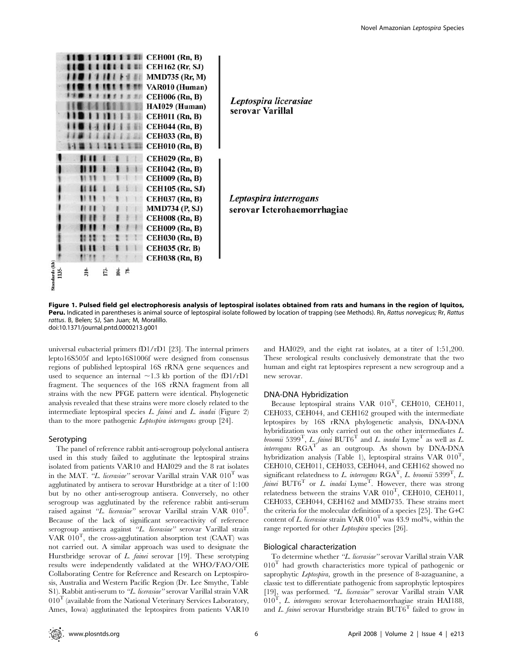

Figure 1. Pulsed field gel electrophoresis analysis of leptospiral isolates obtained from rats and humans in the region of Iquitos, Peru. Indicated in parentheses is animal source of leptospiral isolate followed by location of trapping (see Methods). Rn, Rattus norvegicus; Rr, Rattus rattus. B, Belen; SJ, San Juan; M, Moralillo. doi:10.1371/journal.pntd.0000213.g001

universal eubacterial primers fD1/rD1 [23]. The internal primers lepto16S505f and lepto16S1006f were designed from consensus regions of published leptospiral 16S rRNA gene sequences and used to sequence an internal  $\sim$ 1.3 kb portion of the fD1/rD1 fragment. The sequences of the 16S rRNA fragment from all strains with the new PFGE pattern were identical. Phylogenetic analysis revealed that these strains were more closely related to the intermediate leptospiral species  $L$ . fainei and  $L$ . inadai (Figure 2) than to the more pathogenic Leptospira interrogans group [24].

#### Serotyping

The panel of reference rabbit anti-serogroup polyclonal antisera used in this study failed to agglutinate the leptospiral strains isolated from patients VAR10 and HAI029 and the 8 rat isolates in the MAT. "L. licerasiae" serovar Varillal strain VAR  $010^{\mathrm{T}}$  was agglutinated by antisera to serovar Hurstbridge at a titer of 1:100 but by no other anti-serogroup antisera. Conversely, no other serogroup was agglutinated by the reference rabbit anti-serum raised against "L. licerasiae" serovar Varillal strain VAR 010<sup>T</sup>. Because of the lack of significant seroreactivity of reference serogroup antisera against "L. licerasiae" serovar Varillal strain VAR  $010^T$ , the cross-agglutination absorption test (CAAT) was not carried out. A similar approach was used to designate the Hurstbridge serovar of *L. fainei* serovar [19]. These serotyping results were independently validated at the WHO/FAO/OIE Collaborating Centre for Reference and Research on Leptospirosis, Australia and Western Pacific Region (Dr. Lee Smythe, Table S1). Rabbit anti-serum to "L. licerasiae" serovar Varillal strain VAR  $010<sup>T</sup>$  (available from the National Veterinary Services Laboratory, Ames, Iowa) agglutinated the leptospires from patients VAR10

and HAI029, and the eight rat isolates, at a titer of 1:51,200. These serological results conclusively demonstrate that the two human and eight rat leptospires represent a new serogroup and a new serovar.

## DNA-DNA Hybridization

Because leptospiral strains VAR 010T, CEH010, CEH011, CEH033, CEH044, and CEH162 grouped with the intermediate leptospires by 16S rRNA phylogenetic analysis, DNA-DNA hybridization was only carried out on the other intermediates L. broomii 5399<sup>T</sup>, L. fainei  $BUT6<sup>T</sup>$  and L. inadai Lyme<sup>T</sup> as well as L.  $interrogans$   $\widehat{RGA}^T$  as an outgroup. As shown by DNA-DNA hybridization analysis (Table 1), leptospiral strains VAR  $010^T$ , CEH010, CEH011, CEH033, CEH044, and CEH162 showed no significant relatedness to L. interrogans  $RGA<sup>T</sup>$ , L. broomii 5399<sup>T</sup>, L. fainei BUT6<sup>T</sup> or *L. inadai* Lyme<sup>T</sup>. However, there was strong relatedness between the strains VAR 010<sup>T</sup>, CEH010, CEH011, CEH033, CEH044, CEH162 and MMD735. These strains meet the criteria for the molecular definition of a species [25]. The G+C content of L. licerasiae strain VAR  $010^T$  was 43.9 mol%, within the range reported for other *Leptospira* species [26].

## Biological characterization

To determine whether "L. licerasiae" serovar Varillal strain VAR  $010<sup>T</sup>$  had growth characteristics more typical of pathogenic or saprophytic Leptospira, growth in the presence of 8-azaguanine, a classic test to differentiate pathogenic from saprophytic leptospires [19], was performed. "L. licerasiae" serovar Varillal strain VAR  $010<sup>T</sup>$ , *L. interrogans* serovar Icterohaemorrhagiae strain HAI188, and L. fainei serovar Hurstbridge strain  $BUT6<sup>T</sup>$  failed to grow in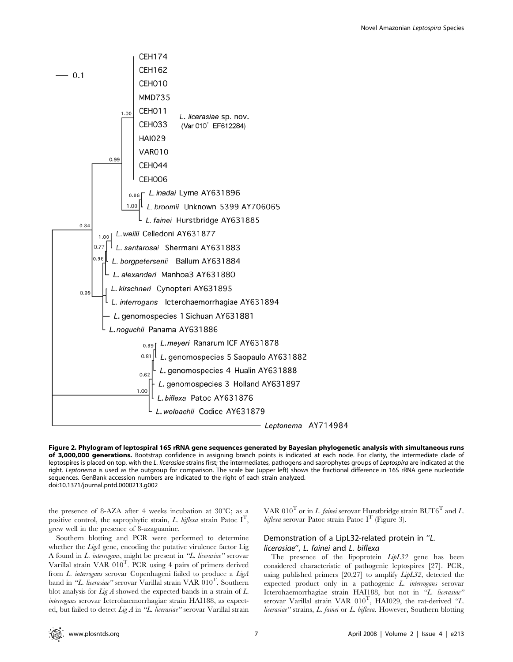

Figure 2. Phylogram of leptospiral 16S rRNA gene sequences generated by Bayesian phylogenetic analysis with simultaneous runs of 3,000,000 generations. Bootstrap confidence in assigning branch points is indicated at each node. For clarity, the intermediate clade of leptospires is placed on top, with the L. licerasiae strains first; the intermediates, pathogens and saprophytes groups of Leptospira are indicated at the right. Leptonema is used as the outgroup for comparison. The scale bar (upper left) shows the fractional difference in 16S rRNA gene nucleotide sequences. GenBank accession numbers are indicated to the right of each strain analyzed. doi:10.1371/journal.pntd.0000213.g002

the presence of 8-AZA after 4 weeks incubation at  $30^{\circ}$ C; as a positive control, the saprophytic strain, L. biflexa strain Patoc  $I<sup>T</sup>$ , grew well in the presence of 8-azaguanine.

Southern blotting and PCR were performed to determine whether the *LigA* gene, encoding the putative virulence factor Lig A found in L. interrogans, might be present in ''L. licerasiae'' serovar Varillal strain VAR  $010^T$ . PCR using 4 pairs of primers derived from L. interrogans serovar Copenhageni failed to produce a LigA band in "L. licerasiae" serovar Varillal strain VAR  $010<sup>T</sup>$ . Southern blot analysis for  $Lig \, A$  showed the expected bands in a strain of  $L$ . interrogans serovar Icterohaemorrhagiae strain HAI188, as expected, but failed to detect  $Lig A$  in "L. licerasiae" serovar Varillal strain VAR 010<sup>T</sup> or in *L. fainei* serovar Hurstbridge strain BUT6<sup>T</sup> and *L*. biflexa serovar Patoc strain Patoc  $I<sup>T</sup>$  (Figure 3).

# Demonstration of a LipL32-related protein in ''L. licerasiae'', L. fainei and L. biflexa

The presence of the lipoprotein  $LipL32$  gene has been considered characteristic of pathogenic leptospires [27]. PCR, using published primers [20,27] to amplify LipL32, detected the expected product only in a pathogenic L. interrogans serovar Icterohaemorrhagiae strain HAI188, but not in ''L. licerasiae'' serovar Varillal strain VAR  $010^T$ , HAI029, the rat-derived "L. licerasiae'' strains, L. fainei or L. biflexa. However, Southern blotting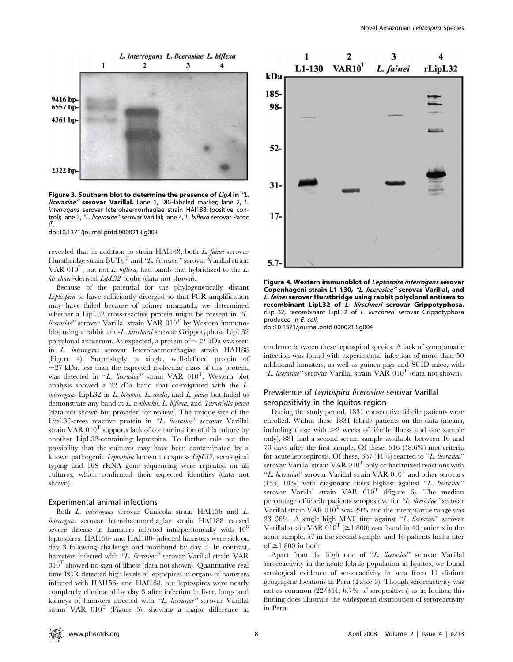

Figure 3. Southern blot to determine the presence of LigA in ''L. licerasiae" serovar Varillal. Lane 1, DIG-labeled marker; lane 2, L. interrogans serovar Icterohaemorrhagiae strain HAI188 (positive control); lane 3, ''L. licerasiae'' serovar Varillal; lane 4, L. biflexa serovar Patoc I T .

doi:10.1371/journal.pntd.0000213.g003

revealed that in addition to strain HAI188, both L. fainei serovar Hurstbridge strain  $BUT6<sup>T</sup>$  and "L. licerasiae" serovar Varillal strain VAR  $010^T$ , but not *L. biflexa*, had bands that hybridized to the *L*. kirschneri-derived LipL32 probe (data not shown).

Because of the potential for the phylogenetically distant Leptospira to have sufficiently diverged so that PCR amplification may have failed because of primer mismatch, we determined whether a LipL32 cross-reactive protein might be present in "L. licerasiae" serovar Varillal strain VAR  $010<sup>T</sup>$  by Western immunoblot using a rabbit anti-L. kirschneri serovar Grippotyphosa LipL32 polyclonal antiserum. As expected, a protein of  $\sim$ 32 kDa was seen in L. interrogans serovar Icterohaemorrhagiae strain HAI188 (Figure 4). Surprisingly, a single, well-defined protein of  $\sim$ 27 kDa, less than the expected molecular mass of this protein, was detected in "L. licerasiae" strain VAR 010<sup>T</sup>. Western blot analysis showed a 32 kDa band that co-migrated with the L. interrogans LipL32 in L. broomii, L. weilii, and L. fainei but failed to demonstrate any band in L. wolbachii, L. biflexa, and Turneriella parva (data not shown but provided for review). The unique size of the LipL32-cross reactive protein in ''L. licerasiae'' serovar Varillal strain VAR  $010<sup>T</sup>$  supports lack of contamination of this culture by another LipL32-containing leptospire. To further rule out the possibility that the cultures may have been contaminated by a known pathogenic Leptospira known to express LipL32, serological typing and 16S rRNA gene sequencing were repeated on all cultures, which confirmed their expected identities (data not shown).

#### Experimental animal infections

Both L. interrogans serovar Canicola strain HAI156 and L. interrogans serovar Icterohaemorrhagiae strain HAI188 caused severe disease in hamsters infected intraperitoneally with  $10^8$ leptospires. HAI156- and HAI188- infected hamsters were sick on day 3 following challenge and moribund by day 5. In contrast, hamsters infected with "L. licerasiae" serovar Varillal strain VAR  $010<sup>T</sup>$  showed no sign of illness (data not shown). Quantitative real time PCR detected high levels of leptospires in organs of hamsters infected with HAI156- and HAI188, but leptospires were nearly completely eliminated by day 3 after infection in liver, lungs and kidneys of hamsters infected with "L. licerasiae" serovar Varillal strain VAR  $010<sup>T</sup>$  (Figure 5), showing a major difference in



Figure 4. Western immunoblot of Leptospira interrogans serovar Copenhageni strain L1-130, "L. licerasiae" serovar Varillal, and L. fainei serovar Hurstbridge using rabbit polyclonal antisera to recombinant LipL32 of L. kirschneri serovar Grippotyphosa. rLipL32, recombinant LipL32 of L. kirschneri serovar Grippotyphosa produced in E. coli.

doi:10.1371/journal.pntd.0000213.g004

virulence between these leptospiral species. A lack of symptomatic infection was found with experimental infection of more than 50 additional hamsters, as well as guinea pigs and SCID mice, with "L. licerasiae" serovar Varillal strain VAR  $010<sup>T</sup>$  (data not shown).

# Prevalence of Leptospira licerasiae serovar Varillal seropositivity in the Iquitos region

During the study period, 1831 consecutive febrile patients were enrolled. Within these 1831 febrile patients on the data (means, including those with  $\geq$  weeks of febrile illness and one sample only), 881 had a second serum sample available between 10 and 70 days after the first sample. Of these, 516 (58.6%) met criteria for acute leptospirosis. Of these, 367 (41%) reacted to ''L. licerasiae'' serovar Varillal strain VAR  $010<sup>T</sup>$  only or had mixed reactions with "L. licerasiae" serovar Varillal strain VAR  $010<sup>T</sup>$  and other serovars (155, 18%) with diagnostic titers highest against ''L. licerasiae'' serovar Varillal strain VAR  $010^{T}$  (Figure 6). The median percentage of febrile patients seropositive for ''L. licerasiae'' serovar Varillal strain VAR  $010<sup>T</sup>$  was 29% and the interquartile range was 23–36%. A single high MAT titer against ''L. licerasiae'' serovar Varillal strain VAR  $010^{\text{T}}$  ( $\geq$ 1:800) was found in 40 patients in the acute sample, 57 in the second sample, and 16 patients had a titer of  $\geq$ 1:800 in both.

Apart from the high rate of "L. licerasiae" serovar Varillal seroreactivity in the acute febrile population in Iquitos, we found serological evidence of seroreactivity in sera from 11 distinct geographic locations in Peru (Table 3). Though seroreactivity was not as common (22/344; 6.7% of seropositives) as in Iquitos, this finding does illustrate the widespread distribution of seroreactivity in Peru.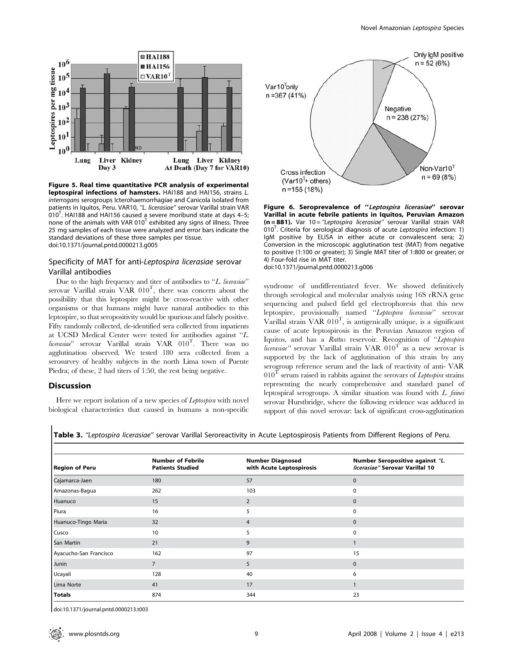

Figure 5. Real time quantitative PCR analysis of experimental leptospiral infections of hamsters. HAI188 and HAI156, strains L. interrogans serogroups Icterohaemorrhagiae and Canicola isolated from patients in Iquitos, Peru. VAR10, ''L. licerasiae'' serovar Varillal strain VAR  $10^{10}$ . HAI188 and HAI156 caused a severe moribund state at days 4–5; none of the animals with VAR  $010<sup>T</sup>$  exhibited any signs of illness. Three 25 mg samples of each tissue were analyzed and error bars indicate the standard deviations of these three samples per tissue. doi:10.1371/journal.pntd.0000213.g005

# Specificity of MAT for anti-Leptospira licerasiae serovar Varillal antibodies

Due to the high frequency and titer of antibodies to "L. licerasiae" serovar Varillal strain VAR 010<sup>T</sup>, there was concern about the possibility that this leptospire might be cross-reactive with other organisms or that humans might have natural antibodies to this leptospire, so that seropositivity would be spurious and falsely positive. Fifty randomly collected, de-identified sera collected from inpatients at UCSD Medical Center were tested for antibodies against ''L. licerasiae" serovar Varillal strain VAR 010<sup>T</sup>. There was no agglutination observed. We tested 180 sera collected from a serosurvey of healthy subjects in the north Lima town of Puente Piedra; of these, 2 had titers of 1:50, the rest being negative.

#### **Discussion**

Here we report isolation of a new species of *Leptospira* with novel biological characteristics that caused in humans a non-specific



Figure 6. Seroprevalence of ''Leptospira licerasiae'' serovar Varillal in acute febrile patients in Iquitos, Peruvian Amazon (n = 881). Var 10 = ''Leptospira licerasiae'' serovar Varillal strain VAR  $010^T$ . Criteria for serological diagnosis of acute Leptospira infection: 1) IgM positive by ELISA in either acute or convalescent sera; 2) Conversion in the microscopic agglutination test (MAT) from negative to positive (1:100 or greater); 3) Single MAT titer of 1:800 or greater; or 4) Four-fold rise in MAT titer. doi:10.1371/journal.pntd.0000213.g006

syndrome of undifferentiated fever. We showed definitively through serological and molecular analysis using 16S rRNA gene sequencing and pulsed field gel electrophoresis that this new leptospire, provisionally named ''Leptospira licerasiae'' serovar Varillal strain VAR  $010^T$ , is antigenically unique, is a significant cause of acute leptospirosis in the Peruvian Amazon region of Iquitos, and has a Rattus reservoir. Recognition of "Leptospira" *licerasiae*" serovar Varillal strain VAR  $010<sup>T</sup>$  as a new serovar is supported by the lack of agglutination of this strain by any serogroup reference serum and the lack of reactivity of anti- VAR  $010<sup>T</sup>$  serum raised in rabbits against the serovars of *Leptospira* strains representing the nearly comprehensive and standard panel of leptospiral serogroups. A similar situation was found with L. fainei serovar Hurstbridge, where the following evidence was adduced in support of this novel serovar: lack of significant cross-agglutination

Table 3. "Leptospira licerasiae" serovar Varillal Seroreactivity in Acute Leptospirosis Patients from Different Regions of Peru.

| <b>Region of Peru</b>  | <b>Number of Febrile</b><br><b>Patients Studied</b> | <b>Number Diagnosed</b><br>with Acute Leptospirosis | Number Seropositive against "L.<br>licerasiae" Serovar Varillal 10 |
|------------------------|-----------------------------------------------------|-----------------------------------------------------|--------------------------------------------------------------------|
| Cajamarca-Jaen         | 180                                                 | 57                                                  | $\mathbf{0}$                                                       |
| Amazonas-Bagua         | 262                                                 | 103                                                 | $\Omega$                                                           |
| Huanuco                | 15                                                  | $\overline{2}$                                      | $\mathbf{0}$                                                       |
| Piura                  | 16                                                  | 5                                                   | $\Omega$                                                           |
| Huanuco-Tingo Maria    | 32                                                  | $\overline{4}$                                      | $\mathbf{0}$                                                       |
| Cusco                  | 10                                                  | 5                                                   | $\Omega$                                                           |
| San Martin             | 21                                                  | 9                                                   |                                                                    |
| Ayacucho-San Francisco | 162                                                 | 97                                                  | 15                                                                 |
| Junin                  | $\overline{7}$                                      | 5                                                   | $\mathbf{0}$                                                       |
| Ucayali                | 128                                                 | 40                                                  | 6                                                                  |
| Lima Norte             | 41                                                  | 17                                                  |                                                                    |
| <b>Totals</b>          | 874                                                 | 344                                                 | 23                                                                 |
|                        |                                                     |                                                     |                                                                    |

doi:10.1371/journal.pntd.0000213.t003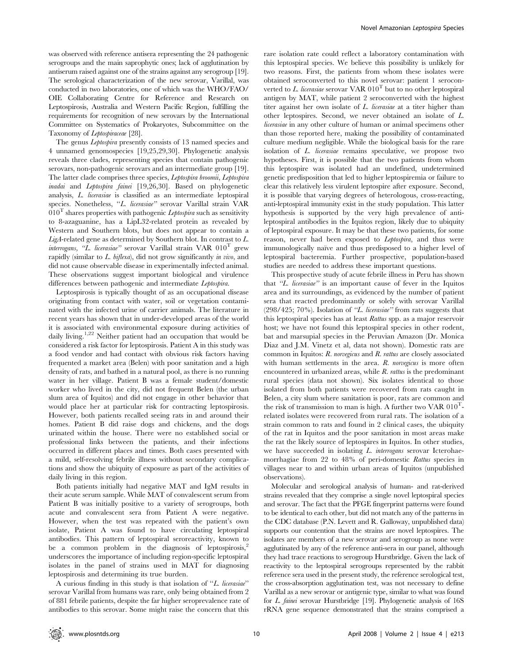was observed with reference antisera representing the 24 pathogenic serogroups and the main saprophytic ones; lack of agglutination by antiserum raised against one of the strains against any serogroup [19]. The serological characterization of the new serovar, Varillal, was conducted in two laboratories, one of which was the WHO/FAO/ OIE Collaborating Centre for Reference and Research on Leptospirosis, Australia and Western Pacific Region, fulfilling the requirements for recognition of new serovars by the International Committee on Systematics of Prokaryotes, Subcommittee on the Taxonomy of Leptospiraceae [28].

The genus *Leptospira* presently consists of 13 named species and 4 unnamed genomospecies [19,25,29,30]. Phylogenetic analysis reveals three clades, representing species that contain pathogenic serovars, non-pathogenic serovars and an intermediate group [19]. The latter clade comprises three species, Leptospira broomii, Leptospira inadai and Leptospira fainei [19,26,30]. Based on phylogenetic analysis, L. licerasiae is classified as an intermediate leptospiral species. Nonetheless, "L. licerasiae" serovar Varillal strain VAR  $010<sup>1</sup>$  shares properties with pathogenic *Leptospira* such as sensitivity to 8-azaguanine, has a LipL32-related protein as revealed by Western and Southern blots, but does not appear to contain a LigA-related gene as determined by Southern blot. In contrast to L. interrogans, "L. licerasiae" serovar Varillal strain VAR  $010<sup>T</sup>$  grew rapidly (similar to L. biflexa), did not grow significantly in vivo, and did not cause observable disease in experimentally infected animal. These observations suggest important biological and virulence differences between pathogenic and intermediate Leptospira.

Leptospirosis is typically thought of as an occupational disease originating from contact with water, soil or vegetation contaminated with the infected urine of carrier animals. The literature in recent years has shown that in under-developed areas of the world it is associated with environmental exposure during activities of daily living.<sup>1,22</sup> Neither patient had an occupation that would be considered a risk factor for leptospirosis. Patient A in this study was a food vendor and had contact with obvious risk factors having frequented a market area (Belen) with poor sanitation and a high density of rats, and bathed in a natural pool, as there is no running water in her village. Patient B was a female student/domestic worker who lived in the city, did not frequent Belen (the urban slum area of Iquitos) and did not engage in other behavior that would place her at particular risk for contracting leptospirosis. However, both patients recalled seeing rats in and around their homes. Patient B did raise dogs and chickens, and the dogs urinated within the house. There were no established social or professional links between the patients, and their infections occurred in different places and times. Both cases presented with a mild, self-resolving febrile illness without secondary complications and show the ubiquity of exposure as part of the activities of daily living in this region.

Both patients initially had negative MAT and IgM results in their acute serum sample. While MAT of convalescent serum from Patient B was initially positive to a variety of serogroups, both acute and convalescent sera from Patient A were negative. However, when the test was repeated with the patient's own isolate, Patient A was found to have circulating leptospiral antibodies. This pattern of leptospiral seroreactivity, known to be a common problem in the diagnosis of leptospirosis,<sup>2</sup> underscores the importance of including region-specific leptospiral isolates in the panel of strains used in MAT for diagnosing leptospirosis and determining its true burden.

A curious finding in this study is that isolation of ''L. licerasiae'' serovar Varillal from humans was rare, only being obtained from 2 of 881 febrile patients, despite the far higher seroprevalence rate of antibodies to this serovar. Some might raise the concern that this

rare isolation rate could reflect a laboratory contamination with this leptospiral species. We believe this possibility is unlikely for two reasons. First, the patients from whom these isolates were obtained seroconverted to this novel serovar: patient 1 seroconverted to L. licerasiae serovar VAR  $010^{\text{T}}$  but to no other leptospiral antigen by MAT, while patient 2 seroconverted with the highest titer against her own isolate of L. licerasiae at a titer higher than other leptospires. Second, we never obtained an isolate of L. licerasiae in any other culture of human or animal specimens other than those reported here, making the possibility of contaminated culture medium negligible. While the biological basis for the rare isolation of L. licerasiae remains speculative, we propose two hypotheses. First, it is possible that the two patients from whom this leptospire was isolated had an undefined, undetermined genetic predisposition that led to higher leptospiremia or failure to clear this relatively less virulent leptospire after exposure. Second, it is possible that varying degrees of heterologous, cross-reacting, anti-leptospiral immunity exist in the study population. This latter hypothesis is supported by the very high prevalence of antileptospiral antibodies in the Iquitos region, likely due to ubiquity of leptospiral exposure. It may be that these two patients, for some reason, never had been exposed to *Leptospira*, and thus were immunologically naïve and thus predisposed to a higher level of leptospiral bacteremia. Further prospective, population-based studies are needed to address these important questions.

This prospective study of acute febrile illness in Peru has shown that ''L. licerasiae'' is an important cause of fever in the Iquitos area and its surroundings, as evidenced by the number of patient sera that reacted predominantly or solely with serovar Varillal (298/425; 70%). Isolation of ''L. licerasiae'' from rats suggests that this leptospiral species has at least Rattus spp. as a major reservoir host; we have not found this leptospiral species in other rodent, bat and marsupial species in the Peruvian Amazon (Dr. Monica Diaz and J.M. Vinetz et al, data not shown). Domestic rats are common in Iquitos: R. norvegicus and R. rattus are closely associated with human settlements in the area.  $R$ . norvegicus is more often encountered in urbanized areas, while R. rattus is the predominant rural species (data not shown). Six isolates identical to those isolated from both patients were recovered from rats caught in Belen, a city slum where sanitation is poor, rats are common and the risk of transmission to man is high. A further two VAR  $010^{\mathrm{T}}$ related isolates were recovered from rural rats. The isolation of a strain common to rats and found in 2 clinical cases, the ubiquity of the rat in Iquitos and the poor sanitation in most areas make the rat the likely source of leptospires in Iquitos. In other studies, we have succeeded in isolating L. interrogans serovar Icterohaemorrhagiae from 22 to 48% of peri-domestic Rattus species in villages near to and within urban areas of Iquitos (unpublished observations).

Molecular and serological analysis of human- and rat-derived strains revealed that they comprise a single novel leptospiral species and serovar. The fact that the PFGE fingerprint patterns were found to be identical to each other, but did not match any of the patterns in the CDC database (P.N. Levett and R. Galloway, unpublished data) supports our contention that the strains are novel leptospires. The isolates are members of a new serovar and serogroup as none were agglutinated by any of the reference anti-sera in our panel, although they had trace reactions to serogroup Hurstbridge. Given the lack of reactivity to the leptospiral serogroups represented by the rabbit reference sera used in the present study, the reference serological test, the cross-absorption agglutination test, was not necessary to define Varillal as a new serovar or antigenic type, similar to what was found for L. fainei serovar Hurstbridge [19]. Phylogenetic analysis of 16S rRNA gene sequence demonstrated that the strains comprised a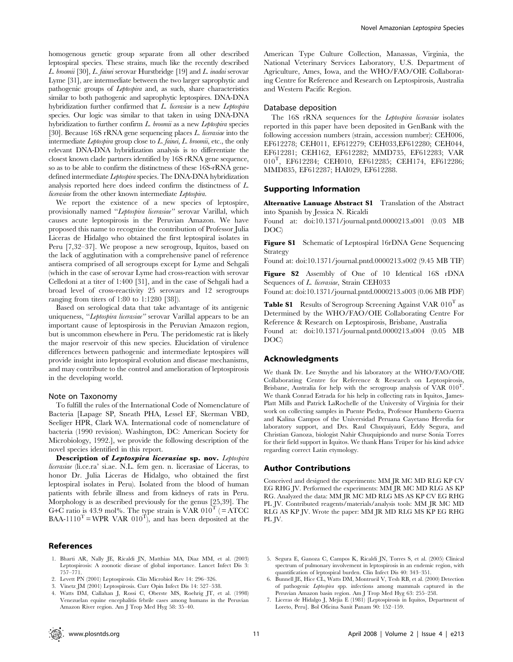homogenous genetic group separate from all other described leptospiral species. These strains, much like the recently described L. broomii [30], L. fainei serovar Hurstbridge [19] and L. inadai serovar Lyme [31], are intermediate between the two larger saprophytic and pathogenic groups of Leptospira and, as such, share characteristics similar to both pathogenic and saprophytic leptospires. DNA-DNA hybridization further confirmed that L. licerasiae is a new Leptospira species. Our logic was similar to that taken in using DNA-DNA hybridization to further confirm L. broomii as a new Leptospira species [30]. Because 16S rRNA gene sequencing places L. licerasiae into the intermediate Leptospira group close to  $L$ . fainei,  $L$ . broomii, etc., the only relevant DNA-DNA hybridization analysis is to differentiate the closest known clade partners identified by 16S rRNA gene sequence, so as to be able to confirm the distinctness of these 16S-rRNA genedefined intermediate Leptospira species. The DNA-DNA hybridization analysis reported here does indeed confirm the distinctness of L. licerasiae from the other known intermediate Leptospira.

We report the existence of a new species of leptospire, provisionally named "Leptospira licerasiae" serovar Varillal, which causes acute leptospirosis in the Peruvian Amazon. We have proposed this name to recognize the contribution of Professor Julia Liceras de Hidalgo who obtained the first leptospiral isolates in Peru [7,32–37]. We propose a new serogroup, Iquitos, based on the lack of agglutination with a comprehensive panel of reference antisera comprised of all serogroups except for Lyme and Sehgali (which in the case of serovar Lyme had cross-reaction with serovar Celledoni at a titer of 1:400 [31], and in the case of Sehgali had a broad level of cross-reactivity 25 serovars and 12 serogroups ranging from titers of 1:80 to 1:1280 [38]).

Based on serological data that take advantage of its antigenic uniqueness, "Leptospira licerasiae" serovar Varillal appears to be an important cause of leptospirosis in the Peruvian Amazon region, but is uncommon elsewhere in Peru. The peridomestic rat is likely the major reservoir of this new species. Elucidation of virulence differences between pathogenic and intermediate leptospires will provide insight into leptospiral evolution and disease mechanisms, and may contribute to the control and amelioration of leptospirosis in the developing world.

#### Note on Taxonomy

To fulfill the rules of the International Code of Nomenclature of Bacteria [Lapage SP, Sneath PHA, Lessel EF, Skerman VBD, Seeliger HPR, Clark WA. International code of nomenclature of bacteria (1990 revision). Washington, DC: American Society for Microbiology, 1992.], we provide the following description of the novel species identified in this report.

Description of Leptospira licerasiae sp. nov. Leptospira licerasiae (li.ce.ra' si.ae. N.L. fem gen. n. licerasiae of Liceras, to honor Dr. Julia Liceras de Hidalgo, who obtained the first leptospiral isolates in Peru). Isolated from the blood of human patients with febrile illness and from kidneys of rats in Peru. Morphology is as described previously for the genus [25,39]. The G+C ratio is 43.9 mol%. The type strain is VAR  $010^T$  (= ATCC BAA-1110<sup>T</sup> = WPR VAR 010<sup>T</sup>), and has been deposited at the

#### References

- 1. Bharti AR, Nally JE, Ricaldi JN, Matthias MA, Diaz MM, et al. (2003) Leptospirosis: A zoonotic disease of global importance. Lancet Infect Dis 3: 757–771.
- 2. Levett PN (2001) Leptospirosis. Clin Microbiol Rev 14: 296–326.
- 3. Vinetz JM (2001) Leptospirosis. Curr Opin Infect Dis 14: 527–538.
- 4. Watts DM, Callahan J, Rossi C, Oberste MS, Roehrig JT, et al. (1998) Venezuelan equine encephalitis febrile cases among humans in the Peruvian Amazon River region. Am J Trop Med Hyg 58: 35–40.

American Type Culture Collection, Manassas, Virginia, the National Veterinary Services Laboratory, U.S. Department of Agriculture, Ames, Iowa, and the WHO/FAO/OIE Collaborating Centre for Reference and Research on Leptospirosis, Australia and Western Pacific Region.

#### Database deposition

The 16S rRNA sequences for the Leptospira licerasiae isolates reported in this paper have been deposited in GenBank with the following accession numbers (strain, accession number): CEH006, EF612278; CEH011, EF612279; CEH033,EF612280; CEH044, EF612281; CEH162, EF612282; MMD735, EF612283; VAR 010<sup>T</sup>, EF612284; CEH010, EF612285; CEH174, EF612286; MMD835, EF612287; HAI029, EF612288.

#### Supporting Information

Alternative Lanuage Abstract S1 Translation of the Abstract into Spanish by Jessica N. Ricaldi

Found at: doi:10.1371/journal.pntd.0000213.s001 (0.03 MB DOC)

Figure S1 Schematic of Leptospiral 16rDNA Gene Sequencing Strategy

Found at: doi:10.1371/journal.pntd.0000213.s002 (9.45 MB TIF)

Figure S2 Assembly of One of 10 Identical 16S rDNA Sequences of L. licerasiae, Strain CEH033

Found at: doi:10.1371/journal.pntd.0000213.s003 (0.06 MB PDF)

**Table S1** Results of Serogroup Screening Against VAR  $010<sup>T</sup>$  as Determined by the WHO/FAO/OIE Collaborating Centre For Reference & Research on Leptospirosis, Brisbane, Australia

Found at: doi:10.1371/journal.pntd.0000213.s004 (0.05 MB DOC)

## Acknowledgments

We thank Dr. Lee Smythe and his laboratory at the WHO/FAO/OIE Collaborating Centre for Reference & Research on Leptospirosis, Brisbane, Australia for help with the serogroup analysis of VAR 010<sup>T</sup>. We thank Conrad Estrada for his help in collecting rats in Iquitos, James-Platt Mills and Patrick LaRochelle of the University of Virginia for their work on collecting samples in Puente Piedra, Professor Humberto Guerra and Kalina Campos of the Universidad Peruana Cayetano Heredia for laboratory support, and Drs. Raul Chuquiyauri, Eddy Segura, and Christian Ganoza, biologist Nahir Chuquipiondo and nurse Sonia Torres for their field support in Iquitos. We thank Hans Trüper for his kind advice regarding correct Latin etymology.

#### Author Contributions

Conceived and designed the experiments: MM JR MC MD RLG KP CV EG RHG JV. Performed the experiments: MM JR MC MD RLG AS KP RG. Analyzed the data: MM JR MC MD RLG MS AS KP CV EG RHG PL JV. Contributed reagents/materials/analysis tools: MM JR MC MD RLG AS KP JV. Wrote the paper: MM JR MD RLG MS KP EG RHG PL JV.

- 5. Segura E, Ganoza C, Campos K, Ricaldi JN, Torres S, et al. (2005) Clinical spectrum of pulmonary involvement in leptospirosis in an endemic region, with quantification of leptospiral burden. Clin Infect Dis 40: 343–351.
- 6. Bunnell JE, Hice CL, Watts DM, Montrueil V, Tesh RB, et al. (2000) Detection of pathogenic Leptospira spp. infections among mammals captured in the Peruvian Amazon basin region. Am J Trop Med Hyg 63: 255–258.
- 7. Liceras de Hidalgo J, Mejia E (1981) [Leptospirosis in Iquitos, Department of Loreto, Peru]. Bol Oficina Sanit Panam 90: 152–159.